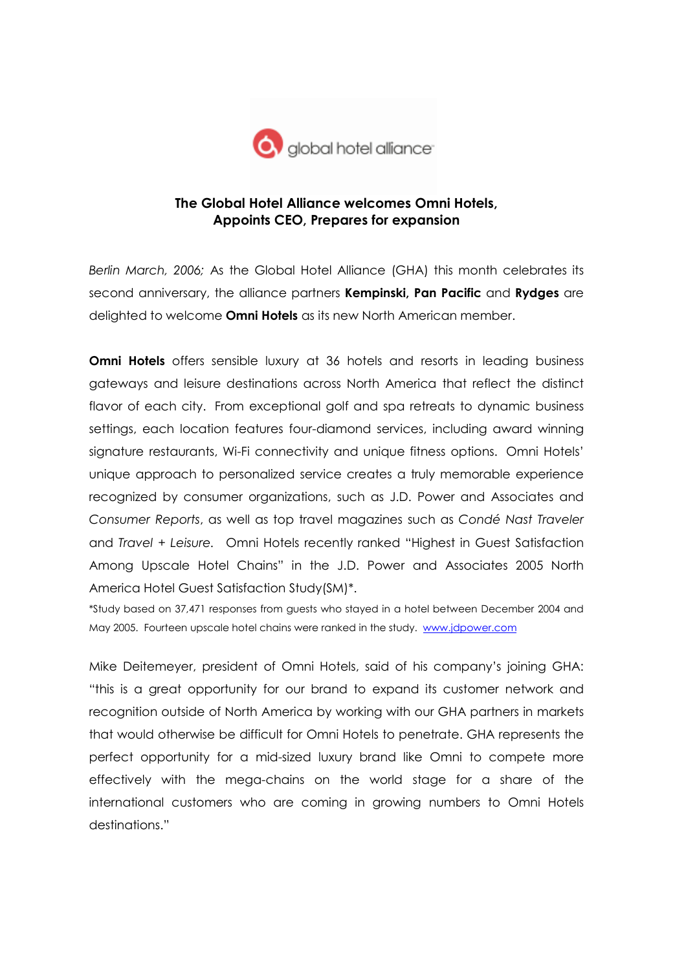

## The Global Hotel Alliance welcomes Omni Hotels, Appoints CEO, Prepares for expansion

Berlin March, 2006; As the Global Hotel Alliance (GHA) this month celebrates its second anniversary, the alliance partners Kempinski, Pan Pacific and Rydges are delighted to welcome **Omni Hotels** as its new North American member.

**Omni Hotels** offers sensible luxury at 36 hotels and resorts in leading business gateways and leisure destinations across North America that reflect the distinct flavor of each city. From exceptional golf and spa retreats to dynamic business settings, each location features four-diamond services, including award winning signature restaurants, Wi-Fi connectivity and unique fitness options. Omni Hotels' unique approach to personalized service creates a truly memorable experience recognized by consumer organizations, such as J.D. Power and Associates and Consumer Reports, as well as top travel magazines such as Condé Nast Traveler and Travel + Leisure. Omni Hotels recently ranked "Highest in Guest Satisfaction Among Upscale Hotel Chains" in the J.D. Power and Associates 2005 North America Hotel Guest Satisfaction Study(SM)\*.

\*Study based on 37,471 responses from guests who stayed in a hotel between December 2004 and May 2005. Fourteen upscale hotel chains were ranked in the study. www.jdpower.com

Mike Deitemeyer, president of Omni Hotels, said of his company's joining GHA: "this is a great opportunity for our brand to expand its customer network and recognition outside of North America by working with our GHA partners in markets that would otherwise be difficult for Omni Hotels to penetrate. GHA represents the perfect opportunity for a mid-sized luxury brand like Omni to compete more effectively with the mega-chains on the world stage for a share of the international customers who are coming in growing numbers to Omni Hotels destinations."